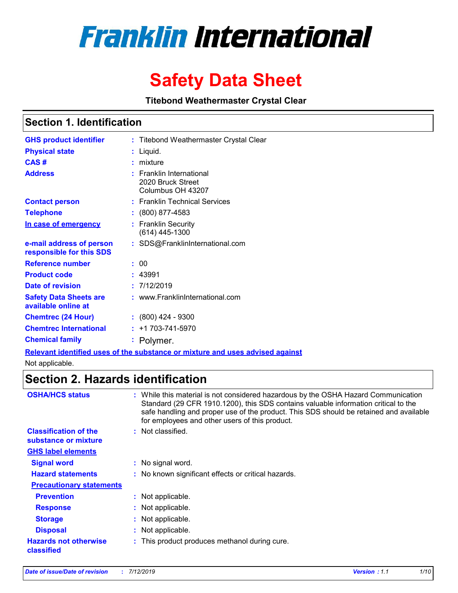# **Franklin International**

# **Safety Data Sheet**

**Titebond Weathermaster Crystal Clear**

# **Section 1. Identification**

| <b>GHS product identifier</b>                        | : Titebond Weathermaster Crystal Clear                                      |
|------------------------------------------------------|-----------------------------------------------------------------------------|
| <b>Physical state</b>                                | Liquid.                                                                     |
| CAS#                                                 | mixture                                                                     |
| <b>Address</b>                                       | <b>Franklin International</b><br>2020 Bruck Street<br>Columbus OH 43207     |
| <b>Contact person</b>                                | : Franklin Technical Services                                               |
| <b>Telephone</b>                                     | $: (800) 877 - 4583$                                                        |
| In case of emergency                                 | : Franklin Security<br>(614) 445-1300                                       |
| e-mail address of person<br>responsible for this SDS | : SDS@FranklinInternational.com                                             |
| <b>Reference number</b>                              | : 00                                                                        |
| <b>Product code</b>                                  | : 43991                                                                     |
| Date of revision                                     | : 7/12/2019                                                                 |
| <b>Safety Data Sheets are</b><br>available online at | : www.FranklinInternational.com                                             |
| <b>Chemtrec (24 Hour)</b>                            | $\div$ (800) 424 - 9300                                                     |
| <b>Chemtrec International</b>                        | $: +1703 - 741 - 5970$                                                      |
| <b>Chemical family</b>                               | Polymer.<br>t.                                                              |
|                                                      | Polovant identified uses of the substance or mixture and uses advised again |

**Relevant identified uses of the substance or mixture and uses advised against** Not applicable.

# **Section 2. Hazards identification**

| <b>OSHA/HCS status</b>                               | : While this material is not considered hazardous by the OSHA Hazard Communication<br>Standard (29 CFR 1910.1200), this SDS contains valuable information critical to the<br>safe handling and proper use of the product. This SDS should be retained and available<br>for employees and other users of this product. |
|------------------------------------------------------|-----------------------------------------------------------------------------------------------------------------------------------------------------------------------------------------------------------------------------------------------------------------------------------------------------------------------|
| <b>Classification of the</b><br>substance or mixture | : Not classified.                                                                                                                                                                                                                                                                                                     |
| <b>GHS label elements</b>                            |                                                                                                                                                                                                                                                                                                                       |
| <b>Signal word</b>                                   | : No signal word.                                                                                                                                                                                                                                                                                                     |
| <b>Hazard statements</b>                             | : No known significant effects or critical hazards.                                                                                                                                                                                                                                                                   |
| <b>Precautionary statements</b>                      |                                                                                                                                                                                                                                                                                                                       |
| <b>Prevention</b>                                    | : Not applicable.                                                                                                                                                                                                                                                                                                     |
| <b>Response</b>                                      | : Not applicable.                                                                                                                                                                                                                                                                                                     |
| <b>Storage</b>                                       | Not applicable.                                                                                                                                                                                                                                                                                                       |
| <b>Disposal</b>                                      | Not applicable.                                                                                                                                                                                                                                                                                                       |
| <b>Hazards not otherwise</b><br>classified           | : This product produces methanol during cure.                                                                                                                                                                                                                                                                         |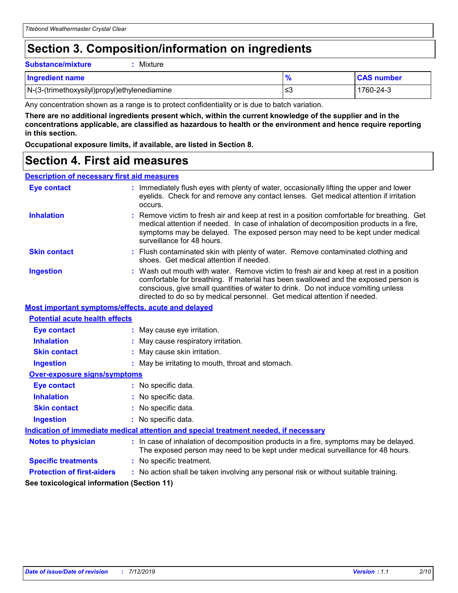# **Section 3. Composition/information on ingredients**

**Substance/mixture :** Mixture

| <b>Ingredient name</b>                       |     | <b>CAS number</b> |
|----------------------------------------------|-----|-------------------|
| N-(3-(trimethoxysilyl)propyl)ethylenediamine | l≤3 | 1760-24-3         |

Any concentration shown as a range is to protect confidentiality or is due to batch variation.

**There are no additional ingredients present which, within the current knowledge of the supplier and in the concentrations applicable, are classified as hazardous to health or the environment and hence require reporting in this section.**

**Occupational exposure limits, if available, are listed in Section 8.**

# **Section 4. First aid measures**

#### **Description of necessary first aid measures**

| <b>Eye contact</b>                                 | : Immediately flush eyes with plenty of water, occasionally lifting the upper and lower<br>eyelids. Check for and remove any contact lenses. Get medical attention if irritation<br>occurs.                                                                                                                                                    |  |
|----------------------------------------------------|------------------------------------------------------------------------------------------------------------------------------------------------------------------------------------------------------------------------------------------------------------------------------------------------------------------------------------------------|--|
| <b>Inhalation</b>                                  | Remove victim to fresh air and keep at rest in a position comfortable for breathing. Get<br>medical attention if needed. In case of inhalation of decomposition products in a fire,<br>symptoms may be delayed. The exposed person may need to be kept under medical<br>surveillance for 48 hours.                                             |  |
| <b>Skin contact</b>                                | : Flush contaminated skin with plenty of water. Remove contaminated clothing and<br>shoes. Get medical attention if needed.                                                                                                                                                                                                                    |  |
| <b>Ingestion</b>                                   | : Wash out mouth with water. Remove victim to fresh air and keep at rest in a position<br>comfortable for breathing. If material has been swallowed and the exposed person is<br>conscious, give small quantities of water to drink. Do not induce vomiting unless<br>directed to do so by medical personnel. Get medical attention if needed. |  |
| Most important symptoms/effects, acute and delayed |                                                                                                                                                                                                                                                                                                                                                |  |
| <b>Potential acute health effects</b>              |                                                                                                                                                                                                                                                                                                                                                |  |
| <b>Eye contact</b>                                 | : May cause eye irritation.                                                                                                                                                                                                                                                                                                                    |  |
| <b>Inhalation</b>                                  | : May cause respiratory irritation.                                                                                                                                                                                                                                                                                                            |  |
| <b>Skin contact</b>                                | : May cause skin irritation.                                                                                                                                                                                                                                                                                                                   |  |
| <b>Ingestion</b>                                   | : May be irritating to mouth, throat and stomach.                                                                                                                                                                                                                                                                                              |  |
| <b>Over-exposure signs/symptoms</b>                |                                                                                                                                                                                                                                                                                                                                                |  |
| <b>Eye contact</b>                                 | : No specific data.                                                                                                                                                                                                                                                                                                                            |  |
| <b>Inhalation</b>                                  | : No specific data.                                                                                                                                                                                                                                                                                                                            |  |
| <b>Skin contact</b>                                | : No specific data.                                                                                                                                                                                                                                                                                                                            |  |
| <b>Ingestion</b>                                   | : No specific data.                                                                                                                                                                                                                                                                                                                            |  |
|                                                    | Indication of immediate medical attention and special treatment needed, if necessary                                                                                                                                                                                                                                                           |  |
| <b>Notes to physician</b>                          | : In case of inhalation of decomposition products in a fire, symptoms may be delayed.<br>The exposed person may need to be kept under medical surveillance for 48 hours.                                                                                                                                                                       |  |
| <b>Specific treatments</b>                         | : No specific treatment.                                                                                                                                                                                                                                                                                                                       |  |
| <b>Protection of first-aiders</b>                  | : No action shall be taken involving any personal risk or without suitable training.                                                                                                                                                                                                                                                           |  |
| See toxicological information (Section 11)         |                                                                                                                                                                                                                                                                                                                                                |  |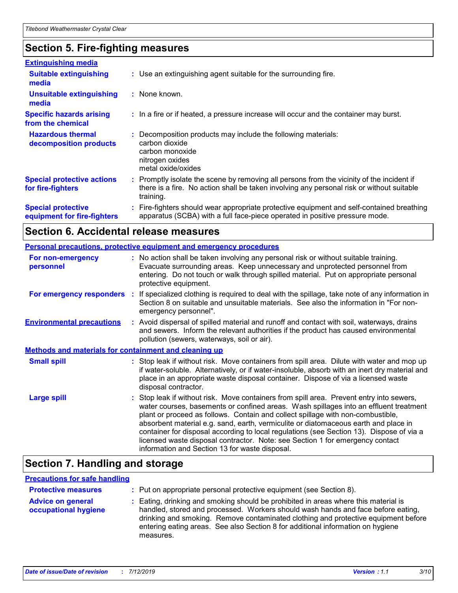# **Section 5. Fire-fighting measures**

| <b>Extinguishing media</b>                               |                                                                                                                                                                                                     |
|----------------------------------------------------------|-----------------------------------------------------------------------------------------------------------------------------------------------------------------------------------------------------|
| <b>Suitable extinguishing</b><br>media                   | : Use an extinguishing agent suitable for the surrounding fire.                                                                                                                                     |
| <b>Unsuitable extinguishing</b><br>media                 | : None known.                                                                                                                                                                                       |
| <b>Specific hazards arising</b><br>from the chemical     | : In a fire or if heated, a pressure increase will occur and the container may burst.                                                                                                               |
| <b>Hazardous thermal</b><br>decomposition products       | Decomposition products may include the following materials:<br>carbon dioxide<br>carbon monoxide<br>nitrogen oxides<br>metal oxide/oxides                                                           |
| <b>Special protective actions</b><br>for fire-fighters   | : Promptly isolate the scene by removing all persons from the vicinity of the incident if<br>there is a fire. No action shall be taken involving any personal risk or without suitable<br>training. |
| <b>Special protective</b><br>equipment for fire-fighters | : Fire-fighters should wear appropriate protective equipment and self-contained breathing<br>apparatus (SCBA) with a full face-piece operated in positive pressure mode.                            |

# **Section 6. Accidental release measures**

| <b>Personal precautions, protective equipment and emergency procedures</b> |  |                                                                                                                                                                                                                                                                                                                                                                                                                                                                                                                                                                                          |  |  |  |  |
|----------------------------------------------------------------------------|--|------------------------------------------------------------------------------------------------------------------------------------------------------------------------------------------------------------------------------------------------------------------------------------------------------------------------------------------------------------------------------------------------------------------------------------------------------------------------------------------------------------------------------------------------------------------------------------------|--|--|--|--|
| For non-emergency<br>personnel                                             |  | : No action shall be taken involving any personal risk or without suitable training.<br>Evacuate surrounding areas. Keep unnecessary and unprotected personnel from<br>entering. Do not touch or walk through spilled material. Put on appropriate personal<br>protective equipment.                                                                                                                                                                                                                                                                                                     |  |  |  |  |
|                                                                            |  | For emergency responders : If specialized clothing is required to deal with the spillage, take note of any information in<br>Section 8 on suitable and unsuitable materials. See also the information in "For non-<br>emergency personnel".                                                                                                                                                                                                                                                                                                                                              |  |  |  |  |
| <b>Environmental precautions</b>                                           |  | : Avoid dispersal of spilled material and runoff and contact with soil, waterways, drains<br>and sewers. Inform the relevant authorities if the product has caused environmental<br>pollution (sewers, waterways, soil or air).                                                                                                                                                                                                                                                                                                                                                          |  |  |  |  |
| <b>Methods and materials for containment and cleaning up</b>               |  |                                                                                                                                                                                                                                                                                                                                                                                                                                                                                                                                                                                          |  |  |  |  |
| <b>Small spill</b>                                                         |  | : Stop leak if without risk. Move containers from spill area. Dilute with water and mop up<br>if water-soluble. Alternatively, or if water-insoluble, absorb with an inert dry material and<br>place in an appropriate waste disposal container. Dispose of via a licensed waste<br>disposal contractor.                                                                                                                                                                                                                                                                                 |  |  |  |  |
| <b>Large spill</b>                                                         |  | Stop leak if without risk. Move containers from spill area. Prevent entry into sewers,<br>water courses, basements or confined areas. Wash spillages into an effluent treatment<br>plant or proceed as follows. Contain and collect spillage with non-combustible,<br>absorbent material e.g. sand, earth, vermiculite or diatomaceous earth and place in<br>container for disposal according to local regulations (see Section 13). Dispose of via a<br>licensed waste disposal contractor. Note: see Section 1 for emergency contact<br>information and Section 13 for waste disposal. |  |  |  |  |

# **Section 7. Handling and storage**

#### **Precautions for safe handling**

| <b>Protective measures</b>                       | : Put on appropriate personal protective equipment (see Section 8).                                                                                                                                                                                                                                                                                           |
|--------------------------------------------------|---------------------------------------------------------------------------------------------------------------------------------------------------------------------------------------------------------------------------------------------------------------------------------------------------------------------------------------------------------------|
| <b>Advice on general</b><br>occupational hygiene | : Eating, drinking and smoking should be prohibited in areas where this material is<br>handled, stored and processed. Workers should wash hands and face before eating,<br>drinking and smoking. Remove contaminated clothing and protective equipment before<br>entering eating areas. See also Section 8 for additional information on hygiene<br>measures. |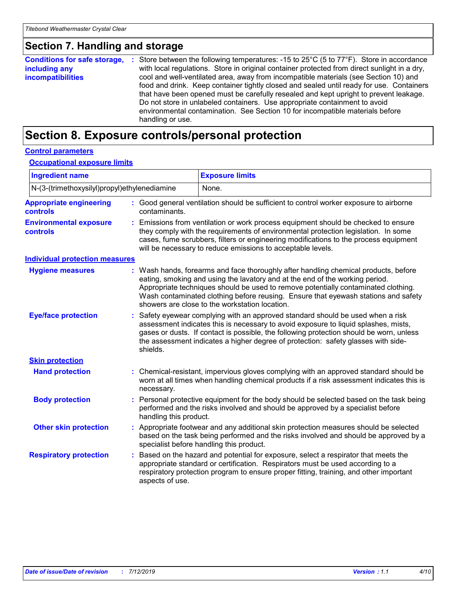### **Section 7. Handling and storage**

| <b>Conditions for safe storage,</b> | : Store between the following temperatures: -15 to $25^{\circ}$ C (5 to $77^{\circ}$ F). Store in accordance |
|-------------------------------------|--------------------------------------------------------------------------------------------------------------|
| including any                       | with local regulations. Store in original container protected from direct sunlight in a dry,                 |
| <b>incompatibilities</b>            | cool and well-ventilated area, away from incompatible materials (see Section 10) and                         |
|                                     | food and drink. Keep container tightly closed and sealed until ready for use. Containers                     |
|                                     | that have been opened must be carefully resealed and kept upright to prevent leakage.                        |
|                                     | Do not store in unlabeled containers. Use appropriate containment to avoid                                   |
|                                     | environmental contamination. See Section 10 for incompatible materials before<br>handling or use.            |
|                                     |                                                                                                              |

# **Section 8. Exposure controls/personal protection**

#### **Control parameters**

#### **Occupational exposure limits**

| <b>Ingredient name</b>                           |    |                                                                                                                                                                                                                                                                                                                                                                  | <b>Exposure limits</b>                                                                                                                                                                                                                                                                                                                                                                            |  |  |
|--------------------------------------------------|----|------------------------------------------------------------------------------------------------------------------------------------------------------------------------------------------------------------------------------------------------------------------------------------------------------------------------------------------------------------------|---------------------------------------------------------------------------------------------------------------------------------------------------------------------------------------------------------------------------------------------------------------------------------------------------------------------------------------------------------------------------------------------------|--|--|
| N-(3-(trimethoxysilyl)propyl)ethylenediamine     |    |                                                                                                                                                                                                                                                                                                                                                                  | None.                                                                                                                                                                                                                                                                                                                                                                                             |  |  |
| <b>Appropriate engineering</b><br>controls       |    | contaminants.                                                                                                                                                                                                                                                                                                                                                    | : Good general ventilation should be sufficient to control worker exposure to airborne                                                                                                                                                                                                                                                                                                            |  |  |
| <b>Environmental exposure</b><br><b>controls</b> |    |                                                                                                                                                                                                                                                                                                                                                                  | Emissions from ventilation or work process equipment should be checked to ensure<br>they comply with the requirements of environmental protection legislation. In some<br>cases, fume scrubbers, filters or engineering modifications to the process equipment<br>will be necessary to reduce emissions to acceptable levels.                                                                     |  |  |
| <b>Individual protection measures</b>            |    |                                                                                                                                                                                                                                                                                                                                                                  |                                                                                                                                                                                                                                                                                                                                                                                                   |  |  |
| <b>Hygiene measures</b>                          |    |                                                                                                                                                                                                                                                                                                                                                                  | : Wash hands, forearms and face thoroughly after handling chemical products, before<br>eating, smoking and using the lavatory and at the end of the working period.<br>Appropriate techniques should be used to remove potentially contaminated clothing.<br>Wash contaminated clothing before reusing. Ensure that eyewash stations and safety<br>showers are close to the workstation location. |  |  |
| <b>Eye/face protection</b>                       | t. | Safety eyewear complying with an approved standard should be used when a risk<br>assessment indicates this is necessary to avoid exposure to liquid splashes, mists,<br>gases or dusts. If contact is possible, the following protection should be worn, unless<br>the assessment indicates a higher degree of protection: safety glasses with side-<br>shields. |                                                                                                                                                                                                                                                                                                                                                                                                   |  |  |
| <b>Skin protection</b>                           |    |                                                                                                                                                                                                                                                                                                                                                                  |                                                                                                                                                                                                                                                                                                                                                                                                   |  |  |
| <b>Hand protection</b>                           |    | necessary.                                                                                                                                                                                                                                                                                                                                                       | : Chemical-resistant, impervious gloves complying with an approved standard should be<br>worn at all times when handling chemical products if a risk assessment indicates this is                                                                                                                                                                                                                 |  |  |
| <b>Body protection</b>                           |    | Personal protective equipment for the body should be selected based on the task being<br>performed and the risks involved and should be approved by a specialist before<br>handling this product.                                                                                                                                                                |                                                                                                                                                                                                                                                                                                                                                                                                   |  |  |
| <b>Other skin protection</b>                     |    | Appropriate footwear and any additional skin protection measures should be selected<br>based on the task being performed and the risks involved and should be approved by a<br>specialist before handling this product.                                                                                                                                          |                                                                                                                                                                                                                                                                                                                                                                                                   |  |  |
| <b>Respiratory protection</b>                    |    | Based on the hazard and potential for exposure, select a respirator that meets the<br>appropriate standard or certification. Respirators must be used according to a<br>respiratory protection program to ensure proper fitting, training, and other important<br>aspects of use.                                                                                |                                                                                                                                                                                                                                                                                                                                                                                                   |  |  |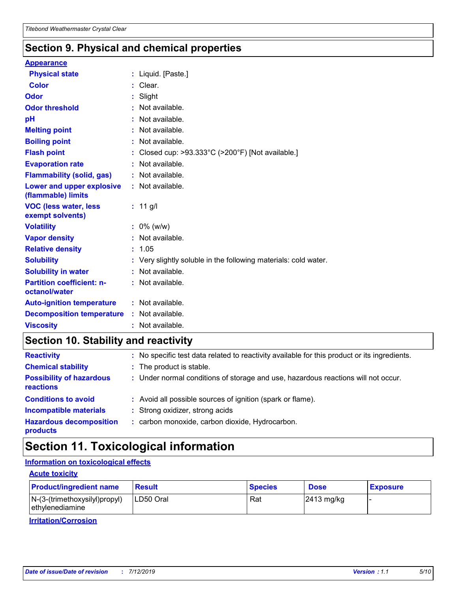# **Section 9. Physical and chemical properties**

#### **Appearance**

| <b>Physical state</b>                             | : Liquid. [Paste.]                                                   |
|---------------------------------------------------|----------------------------------------------------------------------|
| Color                                             | $:$ Clear.                                                           |
| <b>Odor</b>                                       | $:$ Slight                                                           |
| <b>Odor threshold</b>                             | : Not available.                                                     |
| рH                                                | $:$ Not available.                                                   |
| <b>Melting point</b>                              | : Not available.                                                     |
| <b>Boiling point</b>                              | $:$ Not available.                                                   |
| <b>Flash point</b>                                | Closed cup: $>93.333^{\circ}$ C ( $>200^{\circ}$ F) [Not available.] |
| <b>Evaporation rate</b>                           | Not available.                                                       |
| <b>Flammability (solid, gas)</b>                  | : Not available.                                                     |
| Lower and upper explosive<br>(flammable) limits   | : Not available.                                                     |
| <b>VOC (less water, less)</b><br>exempt solvents) | : $11$ g/l                                                           |
| <b>Volatility</b>                                 | $: 0\%$ (w/w)                                                        |
| <b>Vapor density</b>                              | Not available.                                                       |
| <b>Relative density</b>                           | : 1.05                                                               |
| <b>Solubility</b>                                 | : Very slightly soluble in the following materials: cold water.      |
| <b>Solubility in water</b>                        | : Not available.                                                     |
| <b>Partition coefficient: n-</b><br>octanol/water | : Not available.                                                     |
| <b>Auto-ignition temperature</b>                  | : Not available.                                                     |
| <b>Decomposition temperature :</b> Not available. |                                                                      |
| <b>Viscosity</b>                                  | : Not available.                                                     |

# **Section 10. Stability and reactivity**

| <b>Reactivity</b>                                   | : No specific test data related to reactivity available for this product or its ingredients. |
|-----------------------------------------------------|----------------------------------------------------------------------------------------------|
| <b>Chemical stability</b>                           | : The product is stable.                                                                     |
| <b>Possibility of hazardous</b><br><b>reactions</b> | : Under normal conditions of storage and use, hazardous reactions will not occur.            |
| <b>Conditions to avoid</b>                          | : Avoid all possible sources of ignition (spark or flame).                                   |
| <b>Incompatible materials</b>                       | : Strong oxidizer, strong acids                                                              |
| <b>Hazardous decomposition</b><br>products          | : carbon monoxide, carbon dioxide, Hydrocarbon.                                              |

# **Section 11. Toxicological information**

#### **Information on toxicological effects**

#### **Acute toxicity**

| <b>Product/ingredient name</b>                     | <b>Result</b> | <b>Species</b> | <b>Dose</b>            | <b>Exposure</b> |
|----------------------------------------------------|---------------|----------------|------------------------|-----------------|
| $N-(3-(trimethoxysilyl)propyl)$<br>ethylenediamine | ILD50 Oral    | Rat            | $ 2413 \text{ mg/kg} $ |                 |

**Irritation/Corrosion**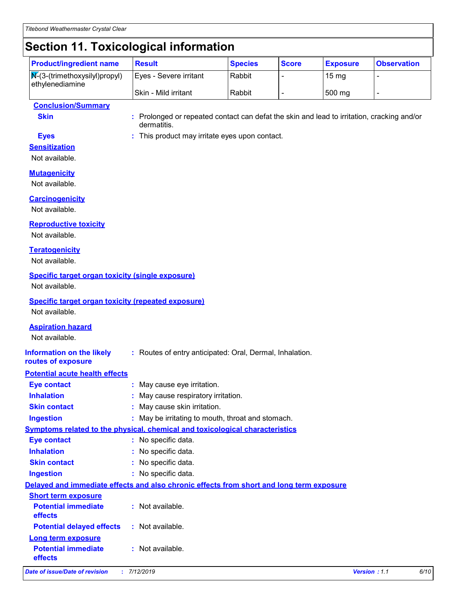# **Section 11. Toxicological information**

| <b>Product/ingredient name</b>                                                    | <b>Result</b>          | <b>Species</b> | <b>Score</b> | <b>Exposure</b>    | <b>Observation</b> |
|-----------------------------------------------------------------------------------|------------------------|----------------|--------------|--------------------|--------------------|
| $\sqrt{\mathbf{N}^2(3-(\text{trimethoxysilyl})\text{propyl})}$<br>ethylenediamine | Eyes - Severe irritant | Rabbit         |              | $15 \,\mathrm{mg}$ |                    |
|                                                                                   | Skin - Mild irritant   | Rabbit         |              | 500 mg             |                    |

#### **Conclusion/Summary**

**Skin :** Prolonged or repeated contact can defat the skin and lead to irritation, cracking and/or dermatitis.

**Eyes :** This product may irritate eyes upon contact.

# **Sensitization**

Not available.

#### **Mutagenicity**

Not available.

#### **Carcinogenicity**

Not available.

#### **Reproductive toxicity**

Not available.

#### **Teratogenicity**

Not available.

#### **Specific target organ toxicity (single exposure)**

Not available.

#### **Specific target organ toxicity (repeated exposure)**

Not available.

#### **Aspiration hazard**

Not available.

**routes of exposure**

#### **Information on the likely :** Routes of entry anticipated: Oral, Dermal, Inhalation.

#### **Potential acute health effects**

| <b>Eye contact</b>                           | : May cause eye irritation.                                                              |  |  |
|----------------------------------------------|------------------------------------------------------------------------------------------|--|--|
| <b>Inhalation</b>                            | : May cause respiratory irritation.                                                      |  |  |
| <b>Skin contact</b>                          | : May cause skin irritation.                                                             |  |  |
| Ingestion                                    | : May be irritating to mouth, throat and stomach.                                        |  |  |
|                                              | <b>Symptoms related to the physical, chemical and toxicological characteristics</b>      |  |  |
| <b>Eye contact</b>                           | : No specific data.                                                                      |  |  |
| <b>Inhalation</b>                            | : No specific data.                                                                      |  |  |
| <b>Skin contact</b>                          | : No specific data.                                                                      |  |  |
| <b>Ingestion</b>                             | : No specific data.                                                                      |  |  |
|                                              | Delayed and immediate effects and also chronic effects from short and long term exposure |  |  |
| <b>Short term exposure</b>                   |                                                                                          |  |  |
| <b>Potential immediate</b><br><b>effects</b> | $:$ Not available.                                                                       |  |  |
| Potential delayed effects : Not available.   |                                                                                          |  |  |
| <b>Long term exposure</b>                    |                                                                                          |  |  |
| <b>Potential immediate</b><br>effects        | $:$ Not available.                                                                       |  |  |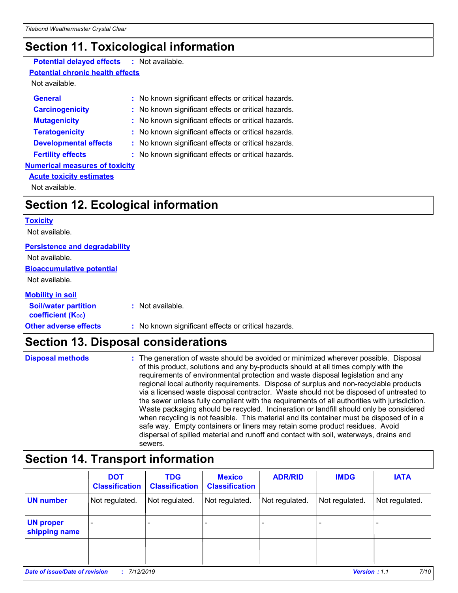# **Section 11. Toxicological information**

#### **Potential delayed effects :** Not available.

#### **Potential chronic health effects**

Not available.

| <b>General</b>                        | : No known significant effects or critical hazards. |
|---------------------------------------|-----------------------------------------------------|
| <b>Carcinogenicity</b>                | : No known significant effects or critical hazards. |
| <b>Mutagenicity</b>                   | : No known significant effects or critical hazards. |
| <b>Teratogenicity</b>                 | : No known significant effects or critical hazards. |
| <b>Developmental effects</b>          | : No known significant effects or critical hazards. |
| <b>Fertility effects</b>              | : No known significant effects or critical hazards. |
| <b>Numerical measures of toxicity</b> |                                                     |
| <b>Acute toxicity estimates</b>       |                                                     |

Not available.

# **Section 12. Ecological information**

#### **Toxicity**

Not available.

#### **Persistence and degradability**

**Bioaccumulative potential** Not available.

#### Not available.

#### **Mobility in soil**

| <b>Soil/water partition</b><br>coefficient (K <sub>oc</sub> ) | : Not available.                                    |
|---------------------------------------------------------------|-----------------------------------------------------|
| <b>Other adverse effects</b>                                  | : No known significant effects or critical hazards. |

# **Section 13. Disposal considerations**

| <b>Disposal methods</b> | : The generation of waste should be avoided or minimized wherever possible. Disposal<br>of this product, solutions and any by-products should at all times comply with the<br>requirements of environmental protection and waste disposal legislation and any<br>regional local authority requirements. Dispose of surplus and non-recyclable products<br>via a licensed waste disposal contractor. Waste should not be disposed of untreated to<br>the sewer unless fully compliant with the requirements of all authorities with jurisdiction.<br>Waste packaging should be recycled. Incineration or landfill should only be considered |
|-------------------------|--------------------------------------------------------------------------------------------------------------------------------------------------------------------------------------------------------------------------------------------------------------------------------------------------------------------------------------------------------------------------------------------------------------------------------------------------------------------------------------------------------------------------------------------------------------------------------------------------------------------------------------------|
|                         | when recycling is not feasible. This material and its container must be disposed of in a<br>safe way. Empty containers or liners may retain some product residues. Avoid<br>dispersal of spilled material and runoff and contact with soil, waterways, drains and<br>sewers.                                                                                                                                                                                                                                                                                                                                                               |

# **Section 14. Transport information**

|                                             | <b>DOT</b><br><b>Classification</b> | <b>TDG</b><br><b>Classification</b> | <b>Mexico</b><br><b>Classification</b> | <b>ADR/RID</b> | <b>IMDG</b>    | <b>IATA</b>                 |
|---------------------------------------------|-------------------------------------|-------------------------------------|----------------------------------------|----------------|----------------|-----------------------------|
| <b>UN number</b>                            | Not regulated.                      | Not regulated.                      | Not regulated.                         | Not regulated. | Not regulated. | Not regulated.              |
| <b>UN proper</b><br>shipping name           |                                     |                                     |                                        |                |                |                             |
|                                             |                                     |                                     |                                        |                |                |                             |
| Date of issue/Date of revision<br>7/12/2019 |                                     |                                     |                                        |                |                | 7/10<br><b>Version: 1.1</b> |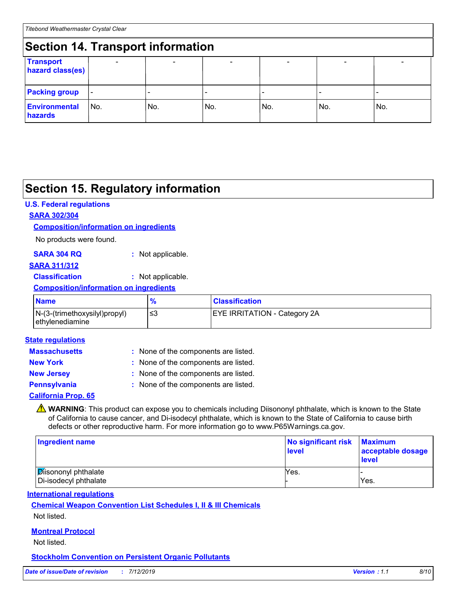# **Section 14. Transport information**

| <b>Section 14. Hansport Information</b> |                          |                          |     |                              |     |     |
|-----------------------------------------|--------------------------|--------------------------|-----|------------------------------|-----|-----|
| <b>Transport</b><br>hazard class(es)    |                          | $\overline{\phantom{0}}$ |     | $\qquad \qquad \blacksquare$ |     |     |
| <b>Packing group</b>                    | $\overline{\phantom{a}}$ |                          |     |                              |     |     |
| <b>Environmental</b><br>hazards         | IN <sub>o</sub>          | No.                      | No. | No.                          | No. | No. |

# **Section 15. Regulatory information**

#### **U.S. Federal regulations**

#### **SARA 302/304**

#### **Composition/information on ingredients**

No products were found.

| SARA 304 RQ | : Not applicable. |
|-------------|-------------------|
|-------------|-------------------|

#### **SARA 311/312**

**Classification :** Not applicable.

#### **Composition/information on ingredients**

| <b>Name</b>                                      |     | <b>Classification</b>               |
|--------------------------------------------------|-----|-------------------------------------|
| N-(3-(trimethoxysilyl)propyl)<br>ethylenediamine | -≤3 | <b>EYE IRRITATION - Category 2A</b> |

#### **State regulations**

| <b>Massachusetts</b>       | : None of the components are listed. |
|----------------------------|--------------------------------------|
| <b>New York</b>            | : None of the components are listed. |
| <b>New Jersey</b>          | : None of the components are listed. |
| <b>Pennsylvania</b>        | : None of the components are listed. |
| <b>California Prop. 65</b> |                                      |

**A WARNING**: This product can expose you to chemicals including Diisononyl phthalate, which is known to the State of California to cause cancer, and Di-isodecyl phthalate, which is known to the State of California to cause birth defects or other reproductive harm. For more information go to www.P65Warnings.ca.gov.

| Ingredient name                                     | No significant risk<br><b>level</b> | <b>Maximum</b><br>acceptable dosage<br><b>level</b> |
|-----------------------------------------------------|-------------------------------------|-----------------------------------------------------|
| <b>Disononyl phthalate</b><br>Di-isodecyl phthalate | Yes.                                | Yes.                                                |

#### **International regulations**

# **Chemical Weapon Convention List Schedules I, II & III Chemicals**

Not listed.

#### **Montreal Protocol**

Not listed.

#### **Stockholm Convention on Persistent Organic Pollutants**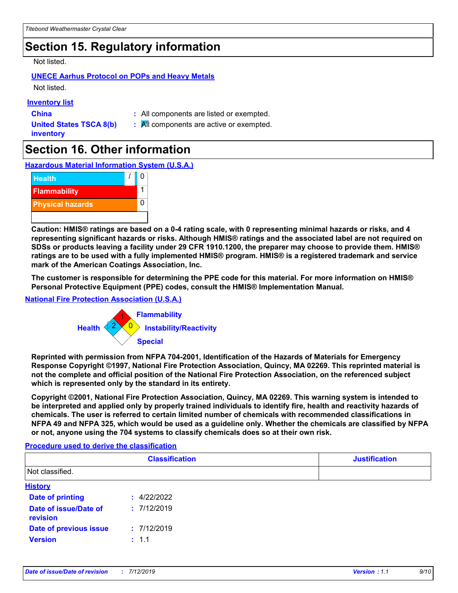# **Section 15. Regulatory information**

Not listed.

#### **UNECE Aarhus Protocol on POPs and Heavy Metals**

Not listed.

#### **Inventory list**

**China :** All components are listed or exempted.

**United States TSCA 8(b) inventory**

**:** All components are active or exempted.

# **Section 16. Other information**

**Hazardous Material Information System (U.S.A.)**



**Caution: HMIS® ratings are based on a 0-4 rating scale, with 0 representing minimal hazards or risks, and 4 representing significant hazards or risks. Although HMIS® ratings and the associated label are not required on SDSs or products leaving a facility under 29 CFR 1910.1200, the preparer may choose to provide them. HMIS® ratings are to be used with a fully implemented HMIS® program. HMIS® is a registered trademark and service mark of the American Coatings Association, Inc.**

**The customer is responsible for determining the PPE code for this material. For more information on HMIS® Personal Protective Equipment (PPE) codes, consult the HMIS® Implementation Manual.**

#### **National Fire Protection Association (U.S.A.)**



**Reprinted with permission from NFPA 704-2001, Identification of the Hazards of Materials for Emergency Response Copyright ©1997, National Fire Protection Association, Quincy, MA 02269. This reprinted material is not the complete and official position of the National Fire Protection Association, on the referenced subject which is represented only by the standard in its entirety.**

**Copyright ©2001, National Fire Protection Association, Quincy, MA 02269. This warning system is intended to be interpreted and applied only by properly trained individuals to identify fire, health and reactivity hazards of chemicals. The user is referred to certain limited number of chemicals with recommended classifications in NFPA 49 and NFPA 325, which would be used as a guideline only. Whether the chemicals are classified by NFPA or not, anyone using the 704 systems to classify chemicals does so at their own risk.**

#### **Procedure used to derive the classification**

|                                   | <b>Classification</b> | <b>Justification</b> |
|-----------------------------------|-----------------------|----------------------|
| Not classified.                   |                       |                      |
| <b>History</b>                    |                       |                      |
| <b>Date of printing</b>           | : 4/22/2022           |                      |
| Date of issue/Date of<br>revision | : 7/12/2019           |                      |
| <b>Date of previous issue</b>     | : 7/12/2019           |                      |
| <b>Version</b>                    | : 1.1                 |                      |